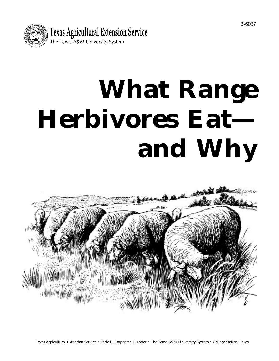

# **What Range Herbivores Eat and Why**

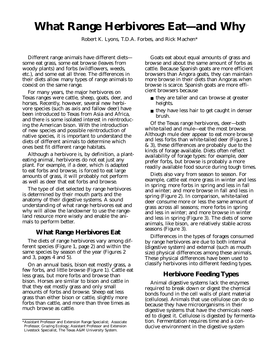# **What Range Herbivores Eat—and Why**

Robert K. Lyons, T.D.A. Forbes, and Rick Machen\*

Different range animals have different diets some eat grass, some eat browse (leaves from woody plants) and forbs (wildflowers, weeds, etc.), and some eat all three. The differences in their diets allow many types of range animals to coexist on the same range.

For many years, the major herbivores on Texas ranges were cattle, sheep, goats, deer, and horses. Recently, however, several new herbivore species (such as axis and fallow deer) have been introduced to Texas from Asia and Africa, and there is some isolated interest in reintroducing the American bison. With the introduction of new species and possible reintroduction of native species, it is important to understand the diets of different animals to determine which ones best fit different range habitats.

Although a herbivore is, by definition, a planteating animal, herbivores do not eat just any plant. For example, if a deer, which is adapted to eat forbs and browse, is forced to eat large amounts of grass, it will probably not perform as well as deer that eat forbs and browse.

The type of diet selected by range herbivores is determined by their mouth parts and the anatomy of their digestive systems. A sound understanding of what range herbivores eat and why will allow the landowner to use the rangeland resource more wisely and enable the animals to perform better.

# **What Range Herbivores Eat**

The diets of range herbivores vary among different species (Figure 1, page 2) and within the same species by season of the year (Figures 2 and 3, pages 4 and 5).

On an annual basis, bison eat mostly grass, a few forbs, and little browse (Figure 1). Cattle eat less grass, but more forbs and browse than bison. Horses are similar to bison and cattle in that they eat mostly grass and only small amounts of forbs and browse. Sheep eat less grass than either bison or cattle, slightly more forbs than cattle, and more than three times as much browse as cattle.

Goats eat about equal amounts of grass and browse and about the same amount of forbs as cattle. Because Spanish goats are more efficient browsers than Angora goats, they can maintain more browse in their diets than Angoras when browse is scarce. Spanish goats are more efficient browsers because

- they are taller and can browse at greater heights.
- they have less hair to get caught in denser brush.

Of the Texas range herbivores, deer—both white-tailed and mule—eat the most browse. Although mule deer appear to eat more browse and less forbs than white-tailed deer (Figures 1 & 3), these differences are probably due to the kinds of forage available. Diets often reflect availability of forage types: for example, deer prefer forbs, but browse is probably a more readily available food source during tough times.

Diets also vary from season to season. For example, cattle eat more grass in winter and less in spring; more forbs in spring and less in fall and winter; and more browse in fall and less in spring (Figure 2). In comparison, white-tailed deer consume more or less the same amount of grass across all seasons; more forbs in spring and less in winter; and more browse in winter and less in spring (Figure 3). The diets of some animals, like bison, are relatively stable across seasons (Figure 3).

Differences in the types of forages consumed by range herbivores are due to both internal (digestive system) and external (such as mouth size) physical differences among these animals. These physical differences have been used to classify herbivores into different feeding types.

# **Herbivore Feeding Types**

Animal digestive systems lack the enzymes required to break down or digest the chemical bonds found in the cell walls of plant material (cellulose). Animals that use cellulose can do so because they have microorganisms in their digestive systems that have the chemicals needed to digest it. Cellulose is digested by fermentation. Fermentation requires time and a conducive environment in the digestive system

<sup>\*</sup>Assistant Professor and Extension Range Specialist; Associate Professor, Grazing Ecology; Assistant Professor and Extension Livestock Specialist, The Texas A&M University System.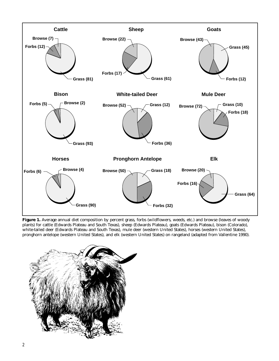

Figure 1. Average annual diet composition by percent grass, forbs (wildflowers, weeds, etc.) and browse (leaves of woody plants) for cattle (Edwards Plateau and South Texas), sheep (Edwards Plateau), goats (Edwards Plateau), bison (Colorado), white-tailed deer (Edwards Plateau and South Texas), mule deer (western United States), horses (western United States), pronghorn antelope (western United States), and elk (western United States) on rangeland (adapted from Vallentine 1990).

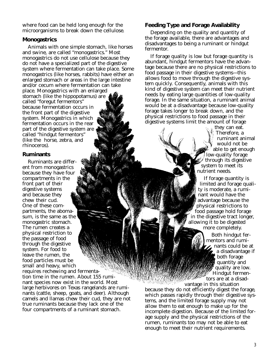where food can be held long enough for the microorganisms to break down the cellulose.

#### **Monogastrics**

Animals with one simple stomach, like horses and swine, are called "monogastrics." Most monogastrics do not use cellulose because they do not have a specialized part of the digestive system where fermentation can take place. Some monogastrics (like horses, rabbits) have either an enlarged stomach or areas in the large intestine and/or cecum where fermentation can take place. Monogastrics with an enlarged stomach (like the hippopotamus) are called "foregut fermentors" because fermentation occurs in the front part of the digestive system. Monogastrics in which fermentation occurs in the rear part of the digestive system are called "hindgut fermentors" (like the horse, zebra, and rhinoceros).

#### **Ruminants**

Ruminants are different from monogastrics because they have four compartments in the front part of their digestive systems and because they chew their cud. One of these compartments, the abomasum, is the same as the monogastric stomach. The rumen creates a physical restriction to the passage of food through the digestive system. For food to leave the rumen, the food particles must be small and heavy, which

requires rechewing and fermentation time in the rumen. About 155 ruminant species now exist in the world. Most large herbivores on Texas rangelands are ruminants (cattle, sheep, goats, and deer). Although camels and llamas chew their cud, they are not true ruminants because they lack one of the four compartments of a ruminant stomach.

#### **Feeding Type and Forage Availability**

Depending on the quality and quantity of the forage available, there are advantages and disadvantages to being a ruminant or hindgut fermentor.

If forage quality is low but forage quantity is abundant, hindgut fermentors have the advantage because there are no physical restrictions to food passage in their digestive systems—this allows food to move through the digestive system quickly. Consequently, animals with this kind of digestive system can meet their nutrient needs by eating large quantities of low-quality forage. In the same situation, a ruminant animal would be at a disadvantage because low-quality forage takes longer to break down, and the physical restrictions to food passage in their digestive systems limit the amount of forage

they can eat. Therefore, a ruminant animal would not be able to get enough low-quality forage through its digestive system to meet its nutrient needs.

If forage quantity is limited and forage quality is moderate, a ruminant would have the advantage because the physical restrictions to food passage hold forage in the digestive tract longer, allowing it to be digested more completely.

> Both hindgut fermentors and ruminants could be at a disadvantage if both forage quantity and quality are low. Hindgut fermentors are at a disad-

vantage in this situation

because they do not efficiently digest the forage, which passes rapidly through their digestive systems, and the limited forage supply may not allow them to eat enough to make up for the incomplete digestion. Because of the limited forage supply and the physical restrictions of the rumen, ruminants too may not be able to eat enough to meet their nutrient requirements.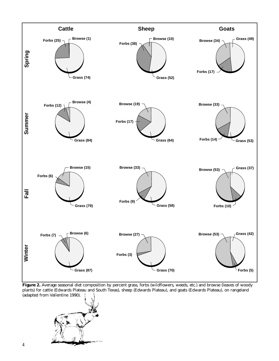

**Figure 2.** Average seasonal diet composition by percent grass, forbs (wildflowers, weeds, etc.) and browse (leaves of woody plants) for cattle (Edwards Plateau and South Texas), sheep (Edwards Plateau), and goats (Edwards Plateau), on rangeland (adapted from Vallentine 1990).

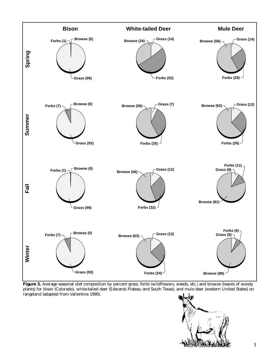

**Figure 3.** Average seasonal diet composition by percent grass, forbs (wildflowers, weeds, etc.) and browse (leaves of woody plants) for bison (Colorado), white-tailed deer (Edwards Plateau and South Texas), and mule deer (western United States) on rangeland (adapted from Vallentine 1990).

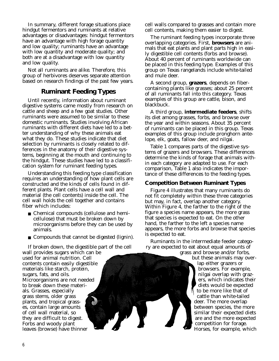In summary, different forage situations place hindgut fermentors and ruminants at relative advantages or disadvantages: hindgut fermentors have an advantage with high forage quantity and low quality; ruminants have an advantage with low quantity and moderate quality; and both are at a disadvantage with low quantity and low quality.

Not all ruminants are alike. Therefore, this group of herbivores deserves separate attention based on research findings of the past few years.

# **Ruminant Feeding Types**

Until recently, information about ruminant digestive systems came mostly from research on cattle and sheep and a few goat studies. Other ruminants were assumed to be similar to these domestic ruminants. Studies involving African ruminants with different diets have led to a better understanding of why these animals eat what they do. These studies indicate that diet selection by ruminants is closely related to differences in the anatomy of their digestive systems, beginning at the mouth and continuing to the hindgut. These studies have led to a classification system for ruminant feeding types.

Understanding this feeding type classification requires an understanding of how plant cells are constructed and the kinds of cells found in different plants. Plant cells have a cell wall and material (the cell contents) inside the cell. The cell wall holds the cell together and contains fiber which includes:

- Chemical compounds (cellulose and hemicellulose) that must be broken down by microorganisms before they can be used by animals.
- Compounds that cannot be digested (lignin).

If broken down, the digestible part of the cell wall provides sugars which can be used for animal nutrition. Cell contents contain easily digestible materials like starch, protein, sugars, fats, and oils. Microorganisms are not needed to break down these materials. Grasses, especially grass stems, older grass plants, and tropical grasses, contain large amounts of cell wall material, so they are difficult to digest. Forbs and woody plant leaves (browse) have thinner

cell walls compared to grasses and contain more cell contents, making them easier to digest.

The ruminant feeding types incorporate three overlapping categories. First, **browsers** are animals that eat plants and plant parts high in easily digestible cell contents (forbs and browse). About 40 percent of ruminants worldwide can be placed in this feeding type. Examples of this group on Texas rangelands include white-tailed and mule deer.

A second group, **grazers**, depends on fibercontaining plants like grasses; about 25 percent of all ruminants fall into this category. Texas examples of this group are cattle, bison, and blackbuck.

A third group, **intermediate feeders**, shifts its diet among grasses, forbs, and browse over the year and within seasons. About 35 percent of ruminants can be placed in this group. Texas examples of this group include pronghorn antelope, elk, goats, fallow deer, and nilgai.

Table 1 compares parts of the digestive systems of grazers and browsers. These differences determine the kinds of forage that animals within each category are adapted to use. For each comparison, Table 1 also indicates the importance of these differences to the feeding types.

#### **Competition Between Ruminant Types**

Figure 4 illustrates that many ruminants do not fit completely within these three categories but may, in fact, overlap another category. Within Figure 4, the farther to the right of the figure a species name appears, the more grass that species is expected to eat. On the other hand, the farther to the left a species name appears, the more forbs and browse that species is expected to eat.

Ruminants in the intermediate feeder category are expected to eat about equal amounts of

grass and browse and/or forbs, but these animals may overlap either grazers or browsers. For example, nilgai overlap with grazers, which indicates their diets would be expected to be more like that of cattle than white-tailed deer. The more overlap between species, the more similar their expected diets are and the more expected competition for forage. Horses, for example, which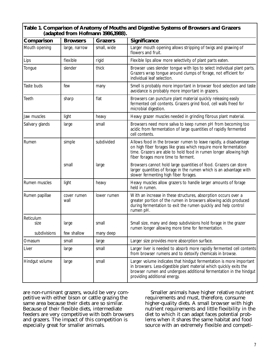| Comparison        | <b>Browsers</b>     | <b>Grazers</b> | Significance                                                                                                                                                                                                                                      |
|-------------------|---------------------|----------------|---------------------------------------------------------------------------------------------------------------------------------------------------------------------------------------------------------------------------------------------------|
| Mouth opening     | large, narrow       | small, wide    | Larger mouth opening allows stripping of twigs and gnawing of<br>flowers and fruit.                                                                                                                                                               |
| Lips              | flexible            | rigid          | Flexible lips allow more selectivity of plant parts eaten.                                                                                                                                                                                        |
| Tongue            | slender             | thick          | Browser uses slender tongue with lips to select individual plant parts.<br>Grazers wrap tongue around clumps of forage, not efficient for<br>individual leaf selection.                                                                           |
| Taste buds        | few                 | many           | Smell is probably more important in browser food selection and taste<br>avoidance is probably more important in grazers.                                                                                                                          |
| Teeth             | sharp               | flat           | Browsers can puncture plant material quickly releasing easily<br>fermented cell contents. Grazers grind food, cell walls freed for<br>microbial digestion.                                                                                        |
| Jaw muscles       | light               | heavy          | Heavy grazer muscles needed in grinding fibrous plant material.                                                                                                                                                                                   |
| Salivary glands   | large               | small          | Browsers need more saliva to keep rumen pH from becoming too<br>acidic from fermentation of large quantities of rapidly fermented<br>cell contents.                                                                                               |
| Rumen             | simple              | subdivided     | Allows food in the browser rumen to leave rapidly, a disadvantage<br>on high fiber forages like grass which require more fermentation<br>time. Grazers are able to hold food in rumen longer allowing high<br>fiber forages more time to ferment. |
|                   | small               | large          | Browsers cannot hold large quantities of food. Grazers can store<br>larger quantities of forage in the rumen which is an advantage with<br>slower fermenting high fiber forages.                                                                  |
| Rumen muscles     | light               | heavy          | Heavy muscles allow grazers to handle larger amounts of forage<br>held in rumen.                                                                                                                                                                  |
| Rumen papillae    | cover rumen<br>wall | lower rumen    | With an increase in these structures, absorption occurs over a<br>greater portion of the rumen in browsers allowing acids produced<br>during fermentation to exit the rumen quickly and help control<br>rumen pH.                                 |
| Reticulum<br>size | large               | small          | Small size, many and deep subdivisions hold forage in the grazer<br>rumen longer allowing more time for fermentation.                                                                                                                             |
| subdivisions      | few shallow         | many deep      |                                                                                                                                                                                                                                                   |
| Omasum            | small               | large          | Larger size provides more absorption surface.                                                                                                                                                                                                     |
| Liver             | large               | small          | Larger liver is needed to absorb more rapidly fermented cell contents<br>from browser rumens and to detoxify chemicals in browse.                                                                                                                 |
| Hindgut volume    | large               | small          | Larger volume indicates that hindgut fermentation is more important<br>in browsers. Less-digestible plant material which quickly exits the<br>browser rumen and undergoes additional fermentation in the hindgut<br>providing additional energy.  |

are non-ruminant grazers, would be very competitive with either bison or cattle grazing the same area because their diets are so similar. Because of their flexible diets, intermediate feeders are very competitive with both browsers and grazers. The impact of this competition is especially great for smaller animals.

Smaller animals have higher relative nutrient requirements and must, therefore, consume higher-quality diets. A small browser with high nutrient requirements and little flexibility in the diet to which it can adapt faces potential problems when it shares the same habitat and food source with an extremely flexible and competi-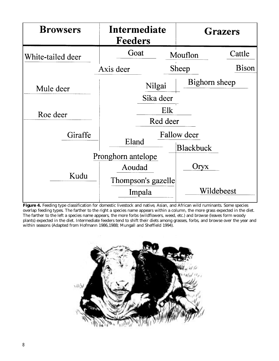

**Figure 4.** Feeding type classification for domestic livestock and native, Asian, and African wild ruminants. Some species overlap feeding types. The farther to the right a species name appears within a column, the more grass expected in the diet. The farther to the left a species name appears, the more forbs (wildflowers, weed, etc.) and browse (leaves form woody plants) expected in the diet. Intermediate feeders tend to shift their diets among grasses, forbs, and browse over the year and within seasons (Adapted from Hofmann 1986,1988; Mungall and Sheffield 1994).

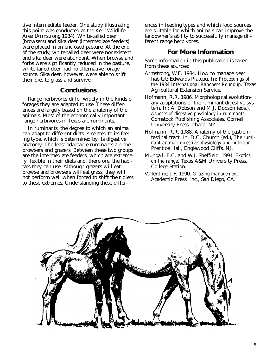tive intermediate feeder. One study illustrating this point was conducted at the Kerr Wildlife Area (Armstrong 1984). White-tailed deer (browsers) and sika deer (intermediate feeders) were placed in an enclosed pasture. At the end of the study, white-tailed deer were nonexistent and sika deer were abundant. When browse and forbs were significantly reduced in the pasture, white-tailed deer had no alternative forage source. Sika deer, however, were able to shift their diet to grass and survive.

### **Conclusions**

Range herbivores differ widely in the kinds of forages they are adapted to use. These differences are largely based on the anatomy of the animals. Most of the economically important range herbivores in Texas are ruminants.

In ruminants, the degree to which an animal can adapt to different diets is related to its feeding type, which is determined by its digestive anatomy. The least-adaptable ruminants are the browsers and grazers. Between these two groups are the intermediate feeders, which are extremely flexible in their diets and, therefore, the habitats they can use. Although grazers will eat browse and browsers will eat grass, they will not perform well when forced to shift their diets to these extremes. Understanding these differences in feeding types and which food sources are suitable for which animals can improve the landowner's ability to successfully manage different range herbivores.

## **For More Information**

Some information in this publication is taken from these sources:

- Armstrong, W.E. 1984. How to manage deer habitat: Edwards Plateau. In: *Proceedings of the 1984 International Ranchers Roundup*. Texas Agricultural Extension Service.
- Hofmann, R.R. 1986. Morphological evolutionary adaptations of the ruminant digestive system. In: A. Dobson and M.J. Dobson (eds.), *Aspects of digestive physiology in ruminants*. Comstock Publishing Associates, Cornell University Press, Ithaca, NY.
- Hofmann, R.R. 1988. Anatomy of the gastrointestinal tract. In: D.C. Church (ed.), *The ruminant animal: digestive physiology and nutrition*. Prentice Hall, Englewood Cliffs, NJ.
- Mungall, E.C. and W.J. Sheffield. 1994. *Exotics on the range*. Texas A&M University Press, College Station.
- Vallentine, J.F. 1990. *Grazing management*. Academic Press, Inc., San Diego, CA.